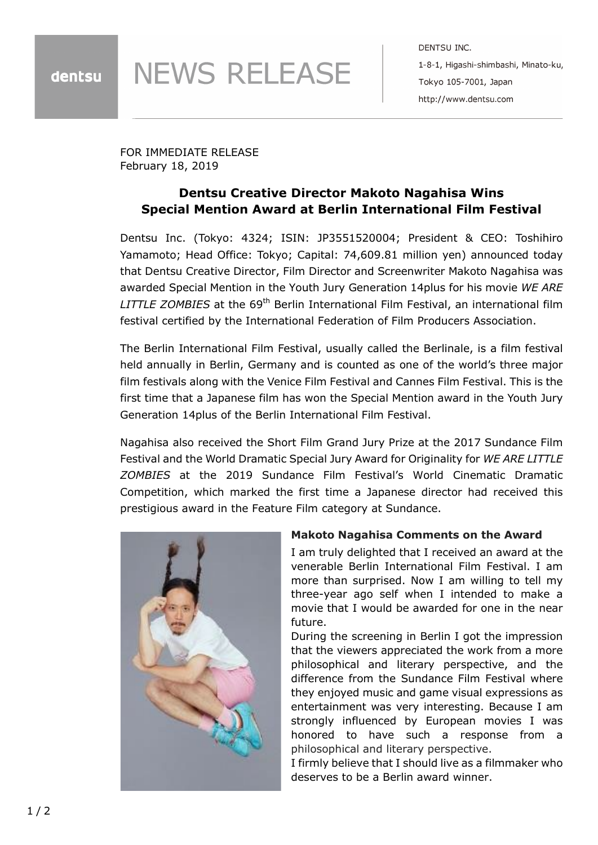**NEWS RELEASE** 

DENTSU INC. 1-8-1, Higashi-shimbashi, Minato-ku, Tokyo 105-7001, Japan http://www.dentsu.com

FOR IMMEDIATE RELEASE February 18, 2019

## **Dentsu Creative Director Makoto Nagahisa Wins Special Mention Award at Berlin International Film Festival**

Dentsu Inc. (Tokyo: 4324; ISIN: JP3551520004; President & CEO: Toshihiro Yamamoto; Head Office: Tokyo; Capital: 74,609.81 million yen) announced today that Dentsu Creative Director, Film Director and Screenwriter Makoto Nagahisa was awarded Special Mention in the Youth Jury Generation 14plus for his movie *WE ARE LITTLE ZOMBIES* at the 69<sup>th</sup> Berlin International Film Festival, an international film festival certified by the International Federation of Film Producers Association.

The Berlin International Film Festival, usually called the Berlinale, is a film festival held annually in Berlin, Germany and is counted as one of the world's three major film festivals along with the Venice Film Festival and Cannes Film Festival. This is the first time that a Japanese film has won the Special Mention award in the Youth Jury Generation 14plus of the Berlin International Film Festival.

Nagahisa also received the Short Film Grand Jury Prize at the 2017 Sundance Film Festival and the World Dramatic Special Jury Award for Originality for *WE ARE LITTLE ZOMBIES* at the 2019 Sundance Film Festival's World Cinematic Dramatic Competition, which marked the first time a Japanese director had received this prestigious award in the Feature Film category at Sundance.



## **Makoto Nagahisa Comments on the Award**

I am truly delighted that I received an award at the venerable Berlin International Film Festival. I am more than surprised. Now I am willing to tell my three-year ago self when I intended to make a movie that I would be awarded for one in the near future.

During the screening in Berlin I got the impression that the viewers appreciated the work from a more philosophical and literary perspective, and the difference from the Sundance Film Festival where they enjoyed music and game visual expressions as entertainment was very interesting. Because I am strongly influenced by European movies I was honored to have such a response from a philosophical and literary perspective.

I firmly believe that I should live as a filmmaker who deserves to be a Berlin award winner.